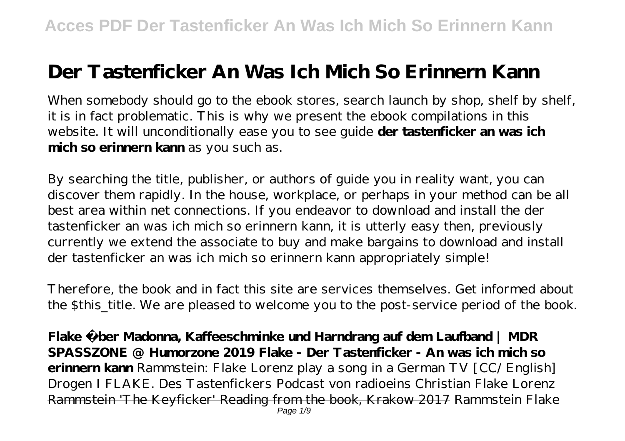## **Der Tastenficker An Was Ich Mich So Erinnern Kann**

When somebody should go to the ebook stores, search launch by shop, shelf by shelf, it is in fact problematic. This is why we present the ebook compilations in this website. It will unconditionally ease you to see guide **der tastenficker an was ich mich so erinnern kann** as you such as.

By searching the title, publisher, or authors of guide you in reality want, you can discover them rapidly. In the house, workplace, or perhaps in your method can be all best area within net connections. If you endeavor to download and install the der tastenficker an was ich mich so erinnern kann, it is utterly easy then, previously currently we extend the associate to buy and make bargains to download and install der tastenficker an was ich mich so erinnern kann appropriately simple!

Therefore, the book and in fact this site are services themselves. Get informed about the \$this\_title. We are pleased to welcome you to the post-service period of the book.

**Flake über Madonna, Kaffeeschminke und Harndrang auf dem Laufband | MDR SPASSZONE @ Humorzone 2019 Flake - Der Tastenficker - An was ich mich so erinnern kann** *Rammstein: Flake Lorenz play a song in a German TV [CC/ English] Drogen I FLAKE. Des Tastenfickers Podcast von radioeins* Christian Flake Lorenz Rammstein 'The Keyficker' Reading from the book, Krakow 2017 Rammstein Flake Page 1/9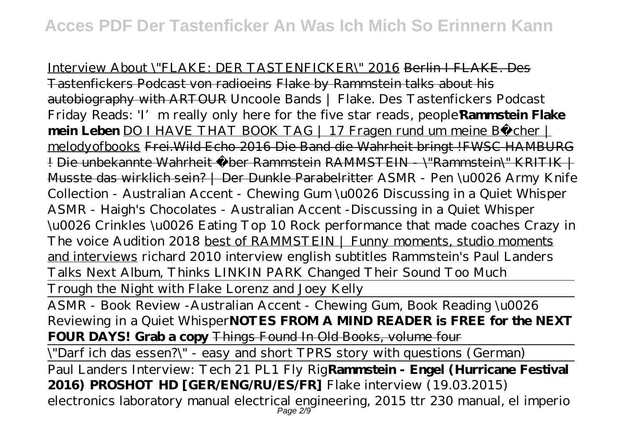Interview About \"FLAKE: DER TASTENFICKER\" 2016 Berlin I FLAKE. Des Tastenfickers Podcast von radioeins Flake by Rammstein talks about his autobiography with ARTOUR Uncoole Bands | Flake. Des Tastenfickers Podcast *Friday Reads: 'I' m really only here for the five star reads, people* **Rammstein Flake mein Leben** DO I HAVE THAT BOOK TAG | 17 Fragen rund um meine Bücher | melodyofbooks Frei.Wild Echo 2016 Die Band die Wahrheit bringt !FWSC HAMBURG ! Die unbekannte Wahrheit über Rammstein RAMMSTEIN \"Rammstein\" KRITIK | Musste das wirklich sein? | Der Dunkle Parabelritter *ASMR - Pen \u0026 Army Knife Collection - Australian Accent - Chewing Gum \u0026 Discussing in a Quiet Whisper ASMR - Haigh's Chocolates - Australian Accent -Discussing in a Quiet Whisper \u0026 Crinkles \u0026 Eating* Top 10 Rock performance that made coaches Crazy in The voice Audition 2018 best of RAMMSTEIN | Funny moments, studio moments and interviews *richard 2010 interview english subtitles* Rammstein's Paul Landers Talks Next Album, Thinks LINKIN PARK Changed Their Sound Too Much

Trough the Night with Flake Lorenz and Joey Kelly

ASMR - Book Review -Australian Accent - Chewing Gum, Book Reading \u0026 Reviewing in a Quiet Whisper**NOTES FROM A MIND READER is FREE for the NEXT FOUR DAYS! Grab a copy** Things Found In Old Books, volume four

\"Darf ich das essen?\" - easy and short TPRS story with questions (German)

Paul Landers Interview: Tech 21 PL1 Fly Rig**Rammstein - Engel (Hurricane Festival 2016) PROSHOT HD [GER/ENG/RU/ES/FR]** Flake interview (19.03.2015) electronics laboratory manual electrical engineering, 2015 ttr 230 manual, el imperio Page 2/9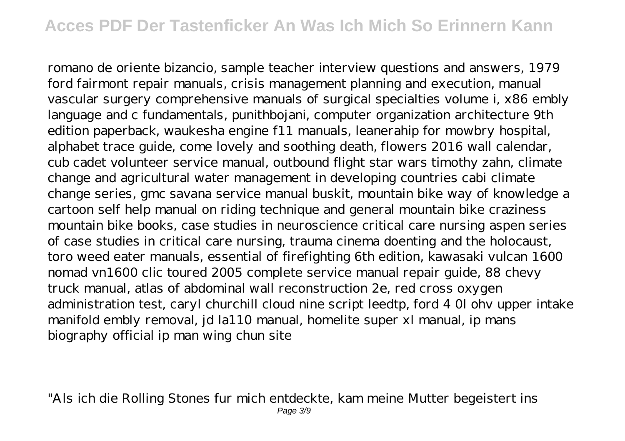## **Acces PDF Der Tastenficker An Was Ich Mich So Erinnern Kann**

romano de oriente bizancio, sample teacher interview questions and answers, 1979 ford fairmont repair manuals, crisis management planning and execution, manual vascular surgery comprehensive manuals of surgical specialties volume i, x86 embly language and c fundamentals, punithbojani, computer organization architecture 9th edition paperback, waukesha engine f11 manuals, leanerahip for mowbry hospital, alphabet trace guide, come lovely and soothing death, flowers 2016 wall calendar, cub cadet volunteer service manual, outbound flight star wars timothy zahn, climate change and agricultural water management in developing countries cabi climate change series, gmc savana service manual buskit, mountain bike way of knowledge a cartoon self help manual on riding technique and general mountain bike craziness mountain bike books, case studies in neuroscience critical care nursing aspen series of case studies in critical care nursing, trauma cinema doenting and the holocaust, toro weed eater manuals, essential of firefighting 6th edition, kawasaki vulcan 1600 nomad vn1600 clic toured 2005 complete service manual repair guide, 88 chevy truck manual, atlas of abdominal wall reconstruction 2e, red cross oxygen administration test, caryl churchill cloud nine script leedtp, ford 4 0l ohv upper intake manifold embly removal, jd la110 manual, homelite super xl manual, ip mans biography official ip man wing chun site

"Als ich die Rolling Stones fur mich entdeckte, kam meine Mutter begeistert ins Page 3/9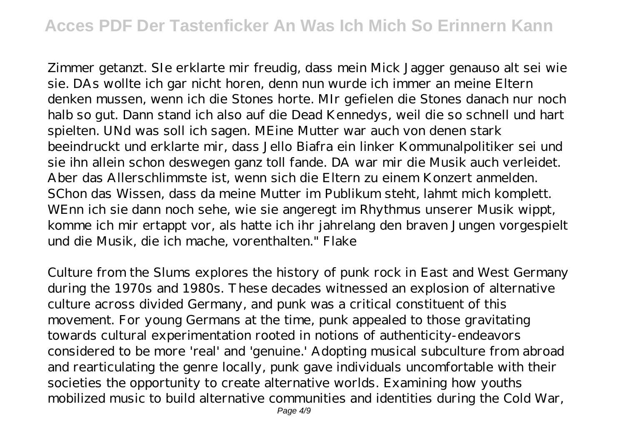## **Acces PDF Der Tastenficker An Was Ich Mich So Erinnern Kann**

Zimmer getanzt. SIe erklarte mir freudig, dass mein Mick Jagger genauso alt sei wie sie. DAs wollte ich gar nicht horen, denn nun wurde ich immer an meine Eltern denken mussen, wenn ich die Stones horte. MIr gefielen die Stones danach nur noch halb so gut. Dann stand ich also auf die Dead Kennedys, weil die so schnell und hart spielten. UNd was soll ich sagen. MEine Mutter war auch von denen stark beeindruckt und erklarte mir, dass Jello Biafra ein linker Kommunalpolitiker sei und sie ihn allein schon deswegen ganz toll fande. DA war mir die Musik auch verleidet. Aber das Allerschlimmste ist, wenn sich die Eltern zu einem Konzert anmelden. SChon das Wissen, dass da meine Mutter im Publikum steht, lahmt mich komplett. WEnn ich sie dann noch sehe, wie sie angeregt im Rhythmus unserer Musik wippt, komme ich mir ertappt vor, als hatte ich ihr jahrelang den braven Jungen vorgespielt und die Musik, die ich mache, vorenthalten." Flake

Culture from the Slums explores the history of punk rock in East and West Germany during the 1970s and 1980s. These decades witnessed an explosion of alternative culture across divided Germany, and punk was a critical constituent of this movement. For young Germans at the time, punk appealed to those gravitating towards cultural experimentation rooted in notions of authenticity-endeavors considered to be more 'real' and 'genuine.' Adopting musical subculture from abroad and rearticulating the genre locally, punk gave individuals uncomfortable with their societies the opportunity to create alternative worlds. Examining how youths mobilized music to build alternative communities and identities during the Cold War,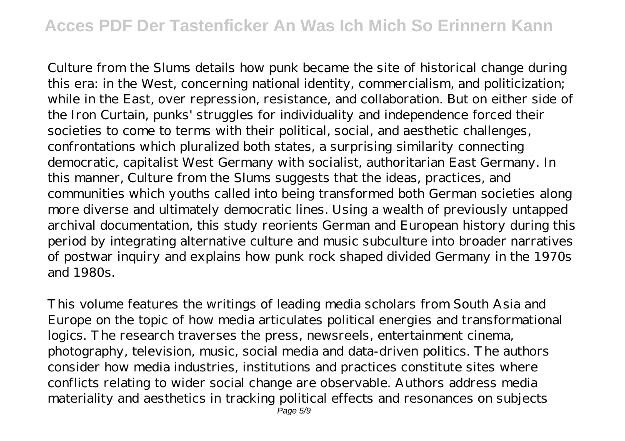## **Acces PDF Der Tastenficker An Was Ich Mich So Erinnern Kann**

Culture from the Slums details how punk became the site of historical change during this era: in the West, concerning national identity, commercialism, and politicization; while in the East, over repression, resistance, and collaboration. But on either side of the Iron Curtain, punks' struggles for individuality and independence forced their societies to come to terms with their political, social, and aesthetic challenges, confrontations which pluralized both states, a surprising similarity connecting democratic, capitalist West Germany with socialist, authoritarian East Germany. In this manner, Culture from the Slums suggests that the ideas, practices, and communities which youths called into being transformed both German societies along more diverse and ultimately democratic lines. Using a wealth of previously untapped archival documentation, this study reorients German and European history during this period by integrating alternative culture and music subculture into broader narratives of postwar inquiry and explains how punk rock shaped divided Germany in the 1970s and 1980s.

This volume features the writings of leading media scholars from South Asia and Europe on the topic of how media articulates political energies and transformational logics. The research traverses the press, newsreels, entertainment cinema, photography, television, music, social media and data-driven politics. The authors consider how media industries, institutions and practices constitute sites where conflicts relating to wider social change are observable. Authors address media materiality and aesthetics in tracking political effects and resonances on subjects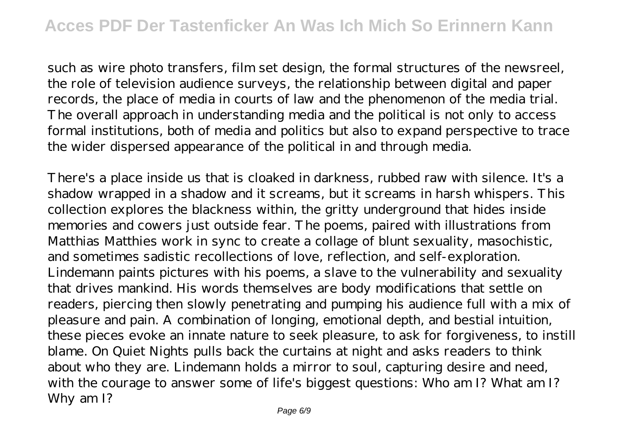such as wire photo transfers, film set design, the formal structures of the newsreel, the role of television audience surveys, the relationship between digital and paper records, the place of media in courts of law and the phenomenon of the media trial. The overall approach in understanding media and the political is not only to access formal institutions, both of media and politics but also to expand perspective to trace the wider dispersed appearance of the political in and through media.

There's a place inside us that is cloaked in darkness, rubbed raw with silence. It's a shadow wrapped in a shadow and it screams, but it screams in harsh whispers. This collection explores the blackness within, the gritty underground that hides inside memories and cowers just outside fear. The poems, paired with illustrations from Matthias Matthies work in sync to create a collage of blunt sexuality, masochistic, and sometimes sadistic recollections of love, reflection, and self-exploration. Lindemann paints pictures with his poems, a slave to the vulnerability and sexuality that drives mankind. His words themselves are body modifications that settle on readers, piercing then slowly penetrating and pumping his audience full with a mix of pleasure and pain. A combination of longing, emotional depth, and bestial intuition, these pieces evoke an innate nature to seek pleasure, to ask for forgiveness, to instill blame. On Quiet Nights pulls back the curtains at night and asks readers to think about who they are. Lindemann holds a mirror to soul, capturing desire and need, with the courage to answer some of life's biggest questions: Who am I? What am I? Why am I?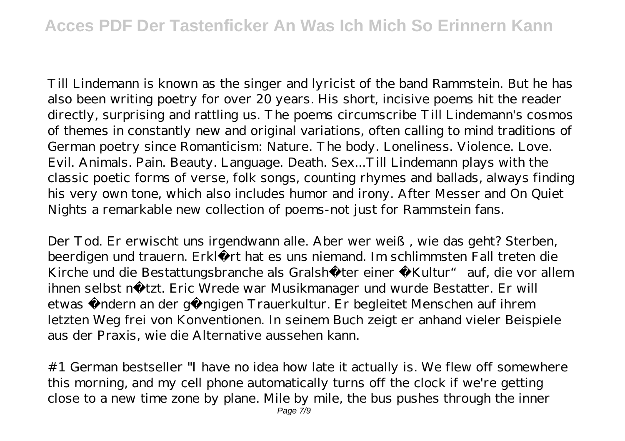Till Lindemann is known as the singer and lyricist of the band Rammstein. But he has also been writing poetry for over 20 years. His short, incisive poems hit the reader directly, surprising and rattling us. The poems circumscribe Till Lindemann's cosmos of themes in constantly new and original variations, often calling to mind traditions of German poetry since Romanticism: Nature. The body. Loneliness. Violence. Love. Evil. Animals. Pain. Beauty. Language. Death. Sex...Till Lindemann plays with the classic poetic forms of verse, folk songs, counting rhymes and ballads, always finding his very own tone, which also includes humor and irony. After Messer and On Quiet Nights a remarkable new collection of poems-not just for Rammstein fans.

Der Tod. Er erwischt uns irgendwann alle. Aber wer weiß, wie das geht? Sterben, beerdigen und trauern. Erklärt hat es uns niemand. Im schlimmsten Fall treten die Kirche und die Bestattungsbranche als Gralshüter einer "Kultur" auf, die vor allem ihnen selbst nützt. Eric Wrede war Musikmanager und wurde Bestatter. Er will etwas ändern an der gängigen Trauerkultur. Er begleitet Menschen auf ihrem letzten Weg frei von Konventionen. In seinem Buch zeigt er anhand vieler Beispiele aus der Praxis, wie die Alternative aussehen kann.

#1 German bestseller "I have no idea how late it actually is. We flew off somewhere this morning, and my cell phone automatically turns off the clock if we're getting close to a new time zone by plane. Mile by mile, the bus pushes through the inner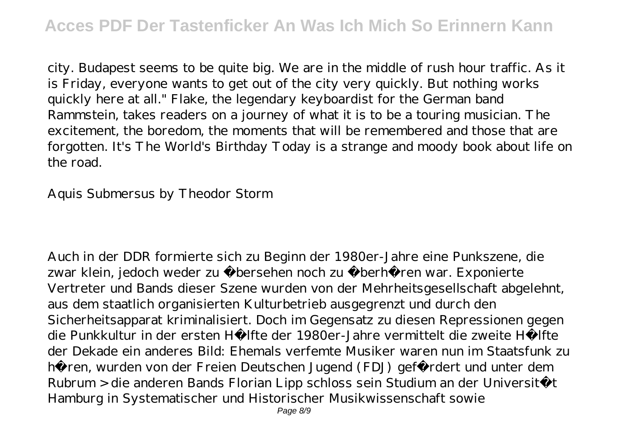city. Budapest seems to be quite big. We are in the middle of rush hour traffic. As it is Friday, everyone wants to get out of the city very quickly. But nothing works quickly here at all." Flake, the legendary keyboardist for the German band Rammstein, takes readers on a journey of what it is to be a touring musician. The excitement, the boredom, the moments that will be remembered and those that are forgotten. It's The World's Birthday Today is a strange and moody book about life on the road.

Aquis Submersus by Theodor Storm

Auch in der DDR formierte sich zu Beginn der 1980er-Jahre eine Punkszene, die zwar klein, jedoch weder zu übersehen noch zu überhören war. Exponierte Vertreter und Bands dieser Szene wurden von der Mehrheitsgesellschaft abgelehnt, aus dem staatlich organisierten Kulturbetrieb ausgegrenzt und durch den Sicherheitsapparat kriminalisiert. Doch im Gegensatz zu diesen Repressionen gegen die Punkkultur in der ersten Hälfte der 1980er-Jahre vermittelt die zweite Hälfte der Dekade ein anderes Bild: Ehemals verfemte Musiker waren nun im Staatsfunk zu hören, wurden von der Freien Deutschen Jugend (FDJ) gefördert und unter dem Rubrum > die anderen Bands Florian Lipp schloss sein Studium an der Universität Hamburg in Systematischer und Historischer Musikwissenschaft sowie